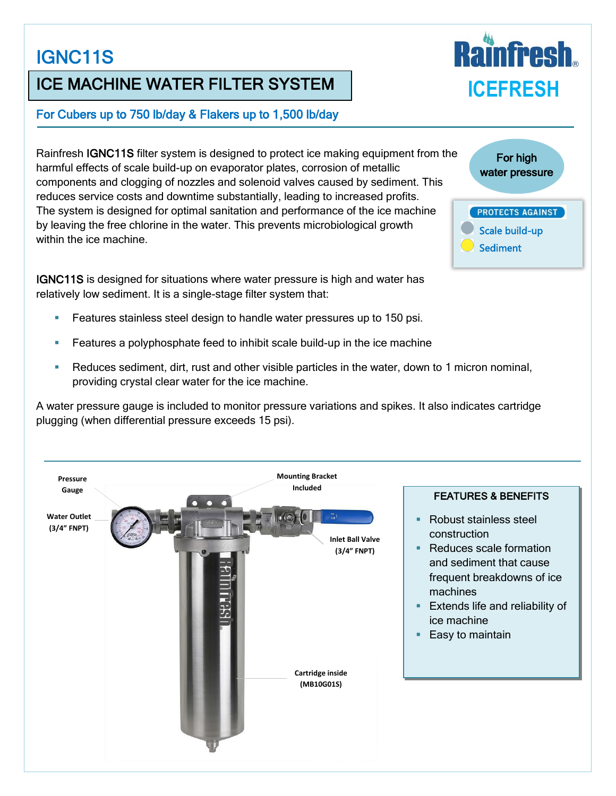# IGNC11S

## ICE MACHINE WATER FILTER SYSTEM

#### For Cubers up to 750 lb/day & Flakers up to 1,500 lb/day

Rainfresh IGNC11S filter system is designed to protect ice making equipment from the harmful effects of scale build-up on evaporator plates, corrosion of metallic components and clogging of nozzles and solenoid valves caused by sediment. This reduces service costs and downtime substantially, leading to increased profits. The system is designed for optimal sanitation and performance of the ice machine by leaving the free chlorine in the water. This prevents microbiological growth within the ice machine.

IGNC11S is designed for situations where water pressure is high and water has relatively low sediment. It is a single-stage filter system that:

- Features stainless steel design to handle water pressures up to 150 psi.
- Features a polyphosphate feed to inhibit scale build-up in the ice machine
- Reduces sediment, dirt, rust and other visible particles in the water, down to 1 micron nominal, providing crystal clear water for the ice machine.

A water pressure gauge is included to monitor pressure variations and spikes. It also indicates cartridge plugging (when differential pressure exceeds 15 psi).



For high water pressure **PROTECTS AGAINST**  Scale build-up Sediment